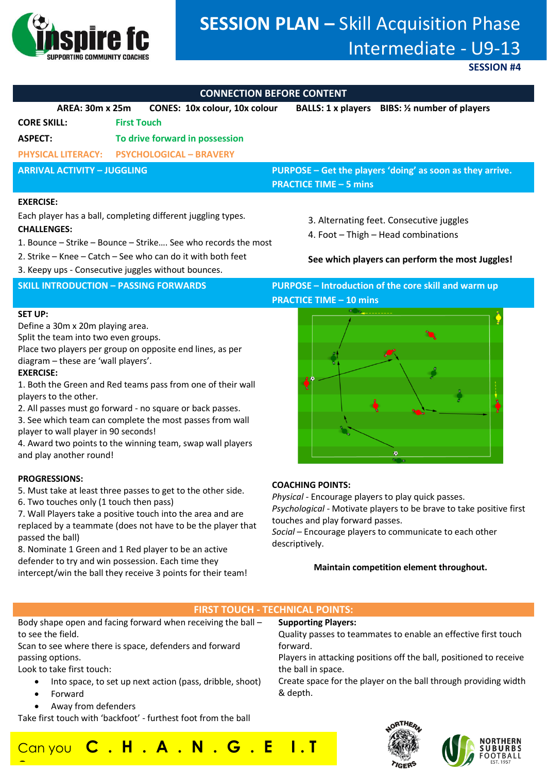

# **SESSION PLAN –** Skill Acquisition Phase Intermediate - U9-13

**SESSION #4**

## **CONNECTION BEFORE CONTENT**

| CONNECTION DEI ONE CONTENT                                                                                                                          |                                |                                      |                                                                                            |                             |  |
|-----------------------------------------------------------------------------------------------------------------------------------------------------|--------------------------------|--------------------------------------|--------------------------------------------------------------------------------------------|-----------------------------|--|
| AREA: 30m x 25m                                                                                                                                     |                                | <b>CONES: 10x colour, 10x colour</b> | <b>BALLS: 1 x players</b>                                                                  | BIBS: 1/2 number of players |  |
| <b>CORE SKILL:</b>                                                                                                                                  | <b>First Touch</b>             |                                      |                                                                                            |                             |  |
| <b>ASPECT:</b>                                                                                                                                      | To drive forward in possession |                                      |                                                                                            |                             |  |
| <b>PHYSICAL LITERACY:</b>                                                                                                                           | <b>PSYCHOLOGICAL - BRAVERY</b> |                                      |                                                                                            |                             |  |
| <b>ARRIVAL ACTIVITY - JUGGLING</b>                                                                                                                  |                                |                                      | PURPOSE – Get the players 'doing' as soon as they arrive.<br><b>PRACTICE TIME - 5 mins</b> |                             |  |
| <b>EXERCISE:</b>                                                                                                                                    |                                |                                      |                                                                                            |                             |  |
| Each player has a ball, completing different juggling types.<br><b>CHALLENGES:</b><br>1. Bounce – Strike – Bounce – Strike See who records the most |                                |                                      | 3. Alternating feet. Consecutive juggles<br>4. Foot - Thigh - Head combinations            |                             |  |
| 2. Strike – Knee – Catch – See who can do it with both feet                                                                                         |                                |                                      | See which players can perform the most Juggles!                                            |                             |  |

3. Keepy ups - Consecutive juggles without bounces.

### **SET UP:**

Define a 30m x 20m playing area.

Split the team into two even groups.

Place two players per group on opposite end lines, as per diagram – these are 'wall players'.

### **EXERCISE:**

1. Both the Green and Red teams pass from one of their wall players to the other.

2. All passes must go forward - no square or back passes.

3. See which team can complete the most passes from wall player to wall player in 90 seconds!

4. Award two points to the winning team, swap wall players and play another round!

### **PROGRESSIONS:**

5. Must take at least three passes to get to the other side.

6. Two touches only (1 touch then pass)

7. Wall Players take a positive touch into the area and are replaced by a teammate (does not have to be the player that passed the ball)

8. Nominate 1 Green and 1 Red player to be an active defender to try and win possession. Each time they intercept/win the ball they receive 3 points for their team!

**SKILL INTRODUCTION – PASSING FORWARDS PURPOSE – Introduction of the core skill and warm up PRACTICE TIME – 10 mins** 



### **COACHING POINTS:**

*Physical -* Encourage players to play quick passes. *Psychological -* Motivate players to be brave to take positive first touches and play forward passes.

*Social* – Encourage players to communicate to each other descriptively.

### **Maintain competition element throughout.**

### **FIRST TOUCH - TECHNICAL POINTS:**

Body shape open and facing forward when receiving the ball – to see the field. Scan to see where there is space, defenders and forward passing options. Look to take first touch: • Into space, to set up next action (pass, dribble, shoot) • Forward **Supporting Players:** Quality passes to teammates to enable an effective first touch forward. Players in attacking positions off the ball, positioned to receive the ball in space. Create space for the player on the ball through providing width & depth.

• Away from defenders

Take first touch with 'backfoot' - furthest foot from the ball